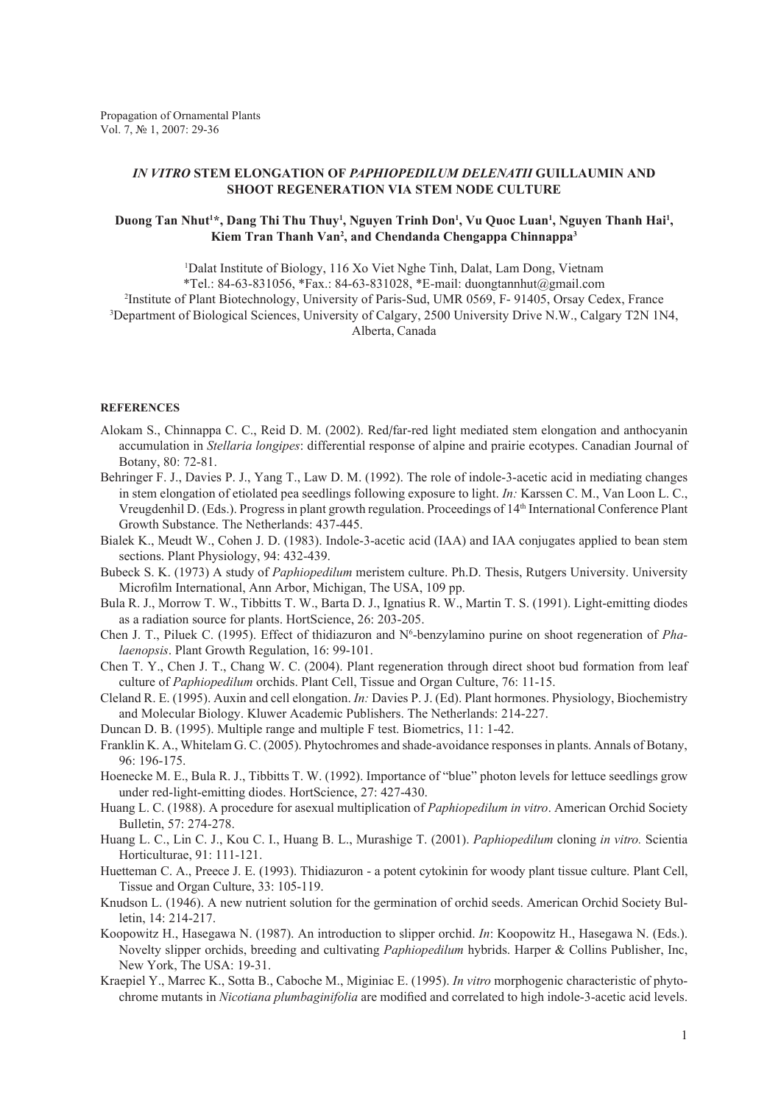## *IN VITRO* **STEM ELONGATION OF** *PAPHIOPEDILUM DELENATII* **GUILLAUMIN AND SHOOT REGENERATION VIA STEM NODE CULTURE**

## Duong Tan Nhut<sup>1</sup>\*, Dang Thi Thu Thuy<sup>1</sup>, Nguyen Trinh Don<sup>1</sup>, Vu Quoc Luan<sup>1</sup>, Nguyen Thanh Hai<sup>1</sup>, **Kiem Tran Thanh Van2 , and Chendanda Chengappa Chinnappa3**

<sup>1</sup>Dalat Institute of Biology, 116 Xo Viet Nghe Tinh, Dalat, Lam Dong, Vietnam \*Tel.: 84-63-831056, \*Fax.: 84-63-831028, \*E-mail: duongtannhut@gmail.com 2 Institute of Plant Biotechnology, University of Paris-Sud, UMR 0569, F- 91405, Orsay Cedex, France 3 Department of Biological Sciences, University of Calgary, 2500 University Drive N.W., Calgary T2N 1N4, Alberta, Canada

## **REFERENCES**

- Alokam S., Chinnappa C. C., Reid D. M. (2002). Red/far-red light mediated stem elongation and anthocyanin accumulation in *Stellaria longipes*: differential response of alpine and prairie ecotypes. Canadian Journal of Botany, 80: 72-81.
- Behringer F. J., Davies P. J., Yang T., Law D. M. (1992). The role of indole-3-acetic acid in mediating changes in stem elongation of etiolated pea seedlings following exposure to light. *In:* Karssen C. M., Van Loon L. C., Vreugdenhil D. (Eds.). Progress in plant growth regulation. Proceedings of 14th International Conference Plant Growth Substance. The Netherlands: 437-445.
- Bialek K., Meudt W., Cohen J. D. (1983). Indole-3-acetic acid (IAA) and IAA conjugates applied to bean stem sections. Plant Physiology, 94: 432-439.
- Bubeck S. K. (1973) A study of *Paphiopedilum* meristem culture. Ph.D. Thesis, Rutgers University. University Microfilm International, Ann Arbor, Michigan, The USA, 109 pp.
- Bula R. J., Morrow T. W., Tibbitts T. W., Barta D. J., Ignatius R. W., Martin T. S. (1991). Light-emitting diodes as a radiation source for plants. HortScience, 26: 203-205.
- Chen J. T., Piluek C. (1995). Effect of thidiazuron and N<sup>6</sup>-benzylamino purine on shoot regeneration of *Phalaenopsis*. Plant Growth Regulation, 16: 99-101.
- Chen T. Y., Chen J. T., Chang W. C. (2004). Plant regeneration through direct shoot bud formation from leaf culture of *Paphiopedilum* orchids. Plant Cell, Tissue and Organ Culture, 76: 11-15.
- Cleland R. E. (1995). Auxin and cell elongation. *In:* Davies P. J. (Ed). Plant hormones. Physiology, Biochemistry and Molecular Biology. Kluwer Academic Publishers. The Netherlands: 214-227.
- Duncan D. B. (1995). Multiple range and multiple F test. Biometrics, 11: 1-42.
- Franklin K. A., Whitelam G. C. (2005). Phytochromes and shade-avoidance responses in plants. Annals of Botany, 96: 196-175.
- Hoenecke M. E., Bula R. J., Tibbitts T. W. (1992). Importance of "blue" photon levels for lettuce seedlings grow under red-light-emitting diodes. HortScience, 27: 427-430.
- Huang L. C. (1988). A procedure for asexual multiplication of *Paphiopedilum in vitro*. American Orchid Society Bulletin, 57: 274-278.
- Huang L. C., Lin C. J., Kou C. I., Huang B. L., Murashige T. (2001). *Paphiopedilum* cloning *in vitro.* Scientia Horticulturae, 91: 111-121.
- Huetteman C. A., Preece J. E. (1993). Thidiazuron a potent cytokinin for woody plant tissue culture. Plant Cell, Tissue and Organ Culture, 33: 105-119.
- Knudson L. (1946). A new nutrient solution for the germination of orchid seeds. American Orchid Society Bulletin, 14: 214-217.
- Koopowitz H., Hasegawa N. (1987). An introduction to slipper orchid. *In*: Koopowitz H., Hasegawa N. (Eds.). Novelty slipper orchids, breeding and cultivating *Paphiopedilum* hybrids. Harper & Collins Publisher, Inc, New York, The USA: 19-31.
- Kraepiel Y., Marrec K., Sotta B., Caboche M., Miginiac E. (1995). *In vitro* morphogenic characteristic of phytochrome mutants in *Nicotiana plumbaginifolia* are modified and correlated to high indole-3-acetic acid levels.